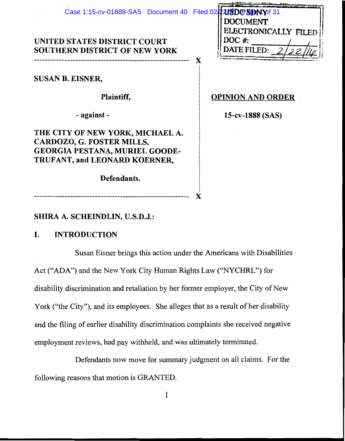| Case 1:15-cv-01888-SAS Document 40 Filed 02 2000 PSDN tof 31 |                          |
|--------------------------------------------------------------|--------------------------|
|                                                              | <b>DOCUMENT</b>          |
|                                                              | ELECTRONICALLY FILED     |
| UNITED STATES DISTRICT COURT                                 | DOC #:                   |
| <b>SOUTHERN DISTRICT OF NEW YORK</b>                         | DATE FILED: 2            |
|                                                              | X                        |
| <b>SUSAN B. EISNER,</b>                                      |                          |
|                                                              |                          |
| Plaintiff,                                                   | <b>OPINION AND ORDER</b> |
|                                                              |                          |
| - against -                                                  | 15-cv-1888 (SAS)         |
| THE CITY OF NEW YORK, MICHAEL A.                             |                          |
| CARDOZO, G. FOSTER MILLS,                                    |                          |
| <b>GEORGIA PESTANA, MURIEL GOODE-</b>                        |                          |
| TRUFANT, and LEONARD KOERNER,                                |                          |
|                                                              |                          |
| Defendants.                                                  |                          |
|                                                              |                          |
|                                                              |                          |

# SHIRA A. SCHEINDLIN, U.S.D.J.:

#### I. **INTRODUCTION**

Susan Eisner brings this action under the Americans with Disabilities Act ("ADA") and the New York City Human Rights Law ("NYCHRL") for disability discrimination and retaliation by her former employer, the City of New York ("the City"), and its employees. She alleges that as a result of her disability and the filing of earlier disability discrimination complaints she received negative employment reviews, had pay withheld, and was ultimately terminated.

Defendants now move for summary judgment on all claims. For the following reasons that motion is GRANTED.

 $\mathbf{1}$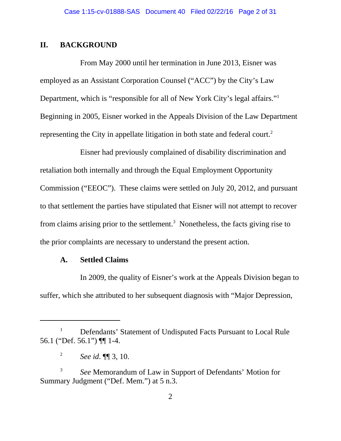# **II. BACKGROUND**

From May 2000 until her termination in June 2013, Eisner was employed as an Assistant Corporation Counsel ("ACC") by the City's Law Department, which is "responsible for all of New York City's legal affairs."<sup>1</sup> Beginning in 2005, Eisner worked in the Appeals Division of the Law Department representing the City in appellate litigation in both state and federal court.<sup>2</sup>

Eisner had previously complained of disability discrimination and retaliation both internally and through the Equal Employment Opportunity Commission ("EEOC"). These claims were settled on July 20, 2012, and pursuant to that settlement the parties have stipulated that Eisner will not attempt to recover from claims arising prior to the settlement.<sup>3</sup> Nonetheless, the facts giving rise to the prior complaints are necessary to understand the present action.

# **A. Settled Claims**

In 2009, the quality of Eisner's work at the Appeals Division began to suffer, which she attributed to her subsequent diagnosis with "Major Depression,

<sup>&</sup>lt;sup>1</sup> Defendants' Statement of Undisputed Facts Pursuant to Local Rule 56.1 ("Def. 56.1") ¶¶ 1-4.

<sup>2</sup> *See id*. ¶¶ 3, 10.

<sup>3</sup> *See* Memorandum of Law in Support of Defendants' Motion for Summary Judgment ("Def. Mem.") at 5 n.3.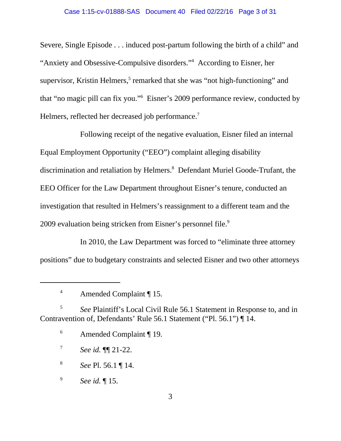### Case 1:15-cv-01888-SAS Document 40 Filed 02/22/16 Page 3 of 31

Severe, Single Episode . . . induced post-partum following the birth of a child" and "Anxiety and Obsessive-Compulsive disorders."4 According to Eisner, her supervisor, Kristin Helmers,<sup>5</sup> remarked that she was "not high-functioning" and that "no magic pill can fix you."6 Eisner's 2009 performance review, conducted by Helmers, reflected her decreased job performance.<sup>7</sup>

Following receipt of the negative evaluation, Eisner filed an internal Equal Employment Opportunity ("EEO") complaint alleging disability discrimination and retaliation by Helmers.<sup>8</sup> Defendant Muriel Goode-Trufant, the EEO Officer for the Law Department throughout Eisner's tenure, conducted an investigation that resulted in Helmers's reassignment to a different team and the 2009 evaluation being stricken from Eisner's personnel file.<sup>9</sup>

In 2010, the Law Department was forced to "eliminate three attorney positions" due to budgetary constraints and selected Eisner and two other attorneys

- <sup>7</sup> *See id.* ¶¶ 21-22.
- <sup>8</sup> *See* Pl. 56.1 ¶ 14.

<sup>9</sup> *See id.* ¶ 15.

<sup>4</sup> Amended Complaint ¶ 15.

<sup>5</sup> *See* Plaintiff's Local Civil Rule 56.1 Statement in Response to, and in Contravention of, Defendants' Rule 56.1 Statement ("Pl. 56.1") ¶ 14.

<sup>6</sup> Amended Complaint ¶ 19.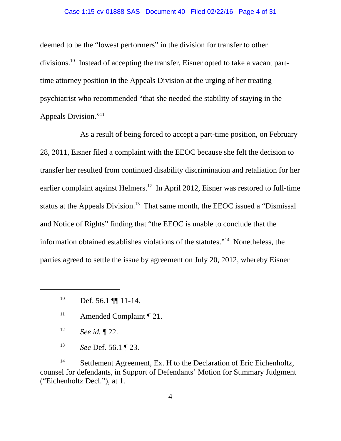#### Case 1:15-cv-01888-SAS Document 40 Filed 02/22/16 Page 4 of 31

deemed to be the "lowest performers" in the division for transfer to other divisions.10 Instead of accepting the transfer, Eisner opted to take a vacant parttime attorney position in the Appeals Division at the urging of her treating psychiatrist who recommended "that she needed the stability of staying in the Appeals Division."11

As a result of being forced to accept a part-time position, on February 28, 2011, Eisner filed a complaint with the EEOC because she felt the decision to transfer her resulted from continued disability discrimination and retaliation for her earlier complaint against Helmers.12In April 2012, Eisner was restored to full-time status at the Appeals Division.<sup>13</sup> That same month, the EEOC issued a "Dismissal and Notice of Rights" finding that "the EEOC is unable to conclude that the information obtained establishes violations of the statutes."14 Nonetheless, the parties agreed to settle the issue by agreement on July 20, 2012, whereby Eisner

- <sup>12</sup> *See id.* ¶ 22.
- <sup>13</sup> *See* Def. 56.1 ¶ 23.

<sup>14</sup> Settlement Agreement, Ex. H to the Declaration of Eric Eichenholtz, counsel for defendants, in Support of Defendants' Motion for Summary Judgment ("Eichenholtz Decl."), at 1.

 $^{10}$  Def. 56.1 [[1] 11-14.

<sup>&</sup>lt;sup>11</sup> Amended Complaint  $\P$  21.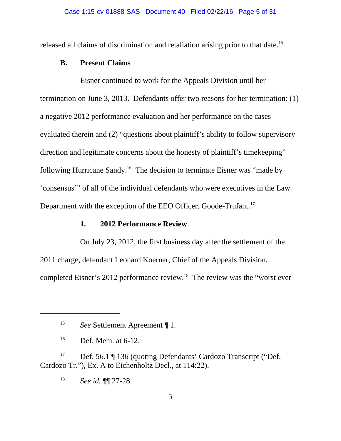released all claims of discrimination and retaliation arising prior to that date.<sup>15</sup>

### **B. Present Claims**

Eisner continued to work for the Appeals Division until her termination on June 3, 2013. Defendants offer two reasons for her termination: (1) a negative 2012 performance evaluation and her performance on the cases evaluated therein and (2) "questions about plaintiff's ability to follow supervisory direction and legitimate concerns about the honesty of plaintiff's timekeeping" following Hurricane Sandy.16 The decision to terminate Eisner was "made by 'consensus'" of all of the individual defendants who were executives in the Law Department with the exception of the EEO Officer, Goode-Trufant.<sup>17</sup>

# **1. 2012 Performance Review**

On July 23, 2012, the first business day after the settlement of the 2011 charge, defendant Leonard Koerner, Chief of the Appeals Division, completed Eisner's 2012 performance review.18The review was the "worst ever

<sup>15</sup> *See* Settlement Agreement ¶ 1.

 $^{16}$  Def. Mem. at 6-12.

<sup>&</sup>lt;sup>17</sup> Def. 56.1 ¶ 136 (quoting Defendants' Cardozo Transcript ("Def. Cardozo Tr."), Ex. A to Eichenholtz Decl., at 114:22).

<sup>18</sup> *See id.* ¶¶ 27-28.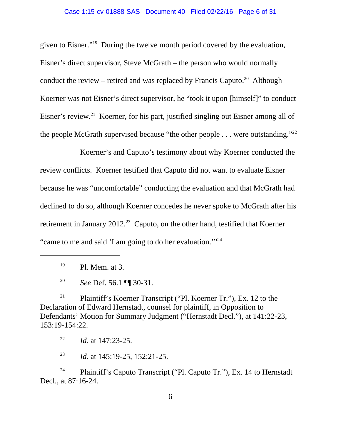#### Case 1:15-cv-01888-SAS Document 40 Filed 02/22/16 Page 6 of 31

given to Eisner."19 During the twelve month period covered by the evaluation, Eisner's direct supervisor, Steve McGrath – the person who would normally conduct the review – retired and was replaced by Francis Caputo.<sup>20</sup> Although Koerner was not Eisner's direct supervisor, he "took it upon [himself]" to conduct Eisner's review.<sup>21</sup> Koerner, for his part, justified singling out Eisner among all of the people McGrath supervised because "the other people  $\dots$  were outstanding."<sup>22</sup>

Koerner's and Caputo's testimony about why Koerner conducted the review conflicts. Koerner testified that Caputo did not want to evaluate Eisner because he was "uncomfortable" conducting the evaluation and that McGrath had declined to do so, although Koerner concedes he never spoke to McGrath after his retirement in January 2012.<sup>23</sup> Caputo, on the other hand, testified that Koerner "came to me and said 'I am going to do her evaluation.'"24

<sup>21</sup> Plaintiff's Koerner Transcript ("Pl. Koerner Tr."), Ex. 12 to the Declaration of Edward Hernstadt, counsel for plaintiff, in Opposition to Defendants' Motion for Summary Judgment ("Hernstadt Decl."), at 141:22-23, 153:19-154:22.

<sup>22</sup> *Id*. at 147:23-25.

<sup>23</sup> *Id.* at 145:19-25, 152:21-25.

<sup>24</sup> Plaintiff's Caputo Transcript ("Pl. Caputo Tr."), Ex. 14 to Hernstadt Decl., at 87:16-24.

 $19$  Pl. Mem. at 3.

<sup>20</sup> *See* Def. 56.1 ¶¶ 30-31.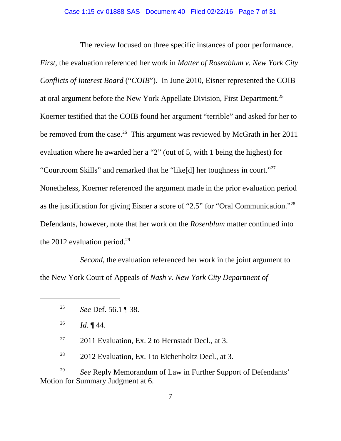The review focused on three specific instances of poor performance.

*First*, the evaluation referenced her work in *Matter of Rosenblum v. New York City Conflicts of Interest Board* ("*COIB*"). In June 2010, Eisner represented the COIB at oral argument before the New York Appellate Division, First Department.25 Koerner testified that the COIB found her argument "terrible" and asked for her to be removed from the case.<sup>26</sup> This argument was reviewed by McGrath in her 2011 evaluation where he awarded her a "2" (out of 5, with 1 being the highest) for "Courtroom Skills" and remarked that he "like[d] her toughness in court."27 Nonetheless, Koerner referenced the argument made in the prior evaluation period as the justification for giving Eisner a score of "2.5" for "Oral Communication."28 Defendants, however, note that her work on the *Rosenblum* matter continued into the 2012 evaluation period.<sup>29</sup>

*Second*, the evaluation referenced her work in the joint argument to the New York Court of Appeals of *Nash v. New York City Department of*

<sup>26</sup> *Id.*  $\P$  44.

 $27$  2011 Evaluation, Ex. 2 to Hernstadt Decl., at 3.

 $28$  2012 Evaluation, Ex. I to Eichenholtz Decl., at 3.

<sup>29</sup> *See* Reply Memorandum of Law in Further Support of Defendants' Motion for Summary Judgment at 6.

<sup>25</sup> *See* Def. 56.1 ¶ 38.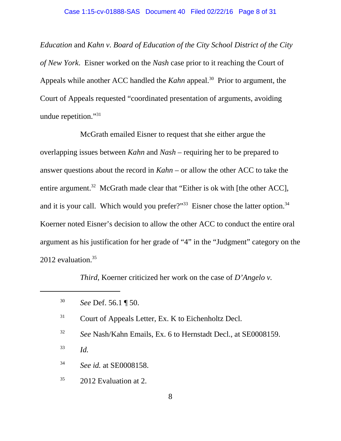*Education* and *Kahn v. Board of Education of the City School District of the City of New York*. Eisner worked on the *Nash* case prior to it reaching the Court of Appeals while another ACC handled the *Kahn* appeal.<sup>30</sup> Prior to argument, the Court of Appeals requested "coordinated presentation of arguments, avoiding undue repetition."31

McGrath emailed Eisner to request that she either argue the overlapping issues between *Kahn* and *Nash* – requiring her to be prepared to answer questions about the record in *Kahn* – or allow the other ACC to take the entire argument.<sup>32</sup> McGrath made clear that "Either is ok with [the other ACC], and it is your call. Which would you prefer?"<sup>33</sup> Eisner chose the latter option.<sup>34</sup> Koerner noted Eisner's decision to allow the other ACC to conduct the entire oral argument as his justification for her grade of "4" in the "Judgment" category on the 2012 evaluation.<sup>35</sup>

*Third*, Koerner criticized her work on the case of *D'Angelo v.*

- <sup>32</sup> *See* Nash/Kahn Emails, Ex. 6 to Hernstadt Decl., at SE0008159.
- <sup>33</sup> *Id.*
- <sup>34</sup> *See id.* at SE0008158.
- $35$  2012 Evaluation at 2.

<sup>30</sup> *See* Def. 56.1 ¶ 50.

<sup>&</sup>lt;sup>31</sup> Court of Appeals Letter, Ex. K to Eichenholtz Decl.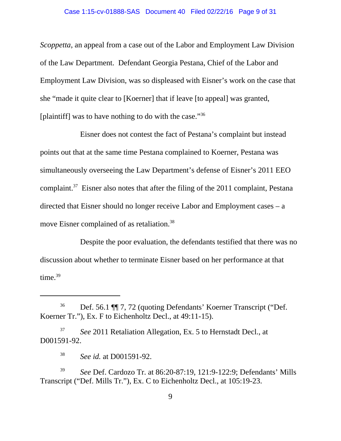#### Case 1:15-cv-01888-SAS Document 40 Filed 02/22/16 Page 9 of 31

*Scoppetta*, an appeal from a case out of the Labor and Employment Law Division of the Law Department. Defendant Georgia Pestana, Chief of the Labor and Employment Law Division, was so displeased with Eisner's work on the case that she "made it quite clear to [Koerner] that if leave [to appeal] was granted, [plaintiff] was to have nothing to do with the case."<sup>36</sup>

Eisner does not contest the fact of Pestana's complaint but instead points out that at the same time Pestana complained to Koerner, Pestana was simultaneously overseeing the Law Department's defense of Eisner's 2011 EEO complaint.37 Eisner also notes that after the filing of the 2011 complaint, Pestana directed that Eisner should no longer receive Labor and Employment cases – a move Eisner complained of as retaliation.<sup>38</sup>

Despite the poor evaluation, the defendants testified that there was no discussion about whether to terminate Eisner based on her performance at that time. $39$ 

<sup>37</sup> *See* 2011 Retaliation Allegation, Ex. 5 to Hernstadt Decl., at D001591-92.

<sup>36</sup> Def. 56.1 ¶¶ 7, 72 (quoting Defendants' Koerner Transcript ("Def. Koerner Tr."), Ex. F to Eichenholtz Decl., at 49:11-15).

<sup>38</sup> *See id.* at D001591-92.

<sup>39</sup> *See* Def. Cardozo Tr. at 86:20-87:19, 121:9-122:9; Defendants' Mills Transcript ("Def. Mills Tr."), Ex. C to Eichenholtz Decl., at 105:19-23.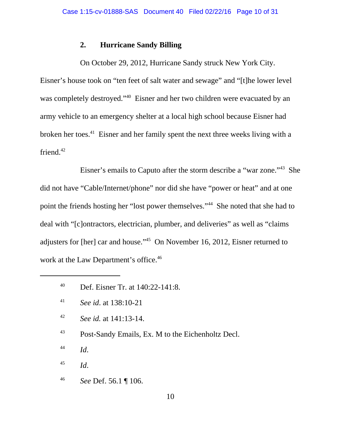# **2. Hurricane Sandy Billing**

On October 29, 2012, Hurricane Sandy struck New York City. Eisner's house took on "ten feet of salt water and sewage" and "[t]he lower level was completely destroyed."<sup>40</sup> Eisner and her two children were evacuated by an army vehicle to an emergency shelter at a local high school because Eisner had broken her toes.41 Eisner and her family spent the next three weeks living with a friend. $42$ 

Eisner's emails to Caputo after the storm describe a "war zone."43 She did not have "Cable/Internet/phone" nor did she have "power or heat" and at one point the friends hosting her "lost power themselves."44 She noted that she had to deal with "[c]ontractors, electrician, plumber, and deliveries" as well as "claims adjusters for [her] car and house."45 On November 16, 2012, Eisner returned to work at the Law Department's office.<sup>46</sup>

- <sup>42</sup> *See id.* at 141:13-14.
- <sup>43</sup> Post-Sandy Emails, Ex. M to the Eichenholtz Decl.
- <sup>44</sup> *Id*.
- <sup>45</sup> *Id*.
- <sup>46</sup> *See* Def. 56.1 ¶ 106.

<sup>40</sup> Def. Eisner Tr. at 140:22-141:8.

<sup>41</sup> *See id*. at 138:10-21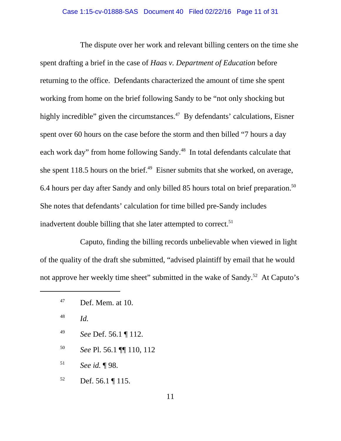The dispute over her work and relevant billing centers on the time she spent drafting a brief in the case of *Haas v. Department of Education* before returning to the office. Defendants characterized the amount of time she spent working from home on the brief following Sandy to be "not only shocking but highly incredible" given the circumstances.<sup>47</sup> By defendants' calculations, Eisner spent over 60 hours on the case before the storm and then billed "7 hours a day each work day" from home following Sandy.<sup>48</sup> In total defendants calculate that she spent 118.5 hours on the brief. $49$  Eisner submits that she worked, on average, 6.4 hours per day after Sandy and only billed 85 hours total on brief preparation.50 She notes that defendants' calculation for time billed pre-Sandy includes inadvertent double billing that she later attempted to correct.<sup>51</sup>

Caputo, finding the billing records unbelievable when viewed in light of the quality of the draft she submitted, "advised plaintiff by email that he would not approve her weekly time sheet" submitted in the wake of Sandy.<sup>52</sup> At Caputo's

- <sup>49</sup> *See* Def. 56.1 ¶ 112.
- <sup>50</sup> *See* Pl. 56.1 ¶¶ 110, 112
- <sup>51</sup> *See id.* ¶ 98.

 $52$  Def. 56.1 | 115.

 $^{47}$  Def. Mem. at 10.

<sup>48</sup> *Id.*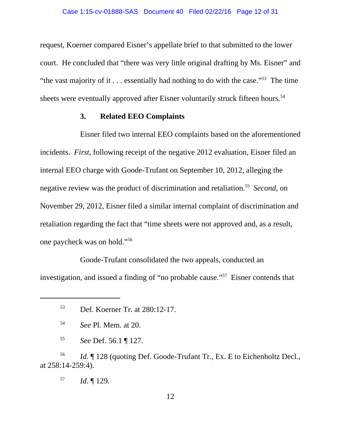request, Koerner compared Eisner's appellate brief to that submitted to the lower court. He concluded that "there was very little original drafting by Ms. Eisner" and "the vast majority of it  $\ldots$  essentially had nothing to do with the case."<sup>53</sup> The time" sheets were eventually approved after Eisner voluntarily struck fifteen hours.<sup>54</sup>

### **3. Related EEO Complaints**

Eisner filed two internal EEO complaints based on the aforementioned incidents. *First*, following receipt of the negative 2012 evaluation, Eisner filed an internal EEO charge with Goode-Trufant on September 10, 2012, alleging the negative review was the product of discrimination and retaliation.55 *Second*, on November 29, 2012, Eisner filed a similar internal complaint of discrimination and retaliation regarding the fact that "time sheets were not approved and, as a result, one paycheck was on hold."56

Goode-Trufant consolidated the two appeals, conducted an investigation, and issued a finding of "no probable cause."57 Eisner contends that

<sup>56</sup> *Id.* ¶ 128 (quoting Def. Goode-Trufant Tr., Ex. E to Eichenholtz Decl., at 258:14-259:4).

<sup>57</sup> *Id.* ¶ 129.

<sup>53</sup> Def. Koerner Tr. at 280:12-17.

<sup>54</sup> *See* Pl. Mem. at 20.

<sup>55</sup> *See* Def. 56.1 ¶ 127.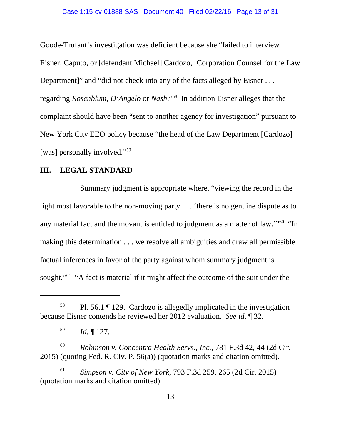Goode-Trufant's investigation was deficient because she "failed to interview Eisner, Caputo, or [defendant Michael] Cardozo, [Corporation Counsel for the Law Department]" and "did not check into any of the facts alleged by Eisner . . . regarding *Rosenblum*, *D'Angelo* or *Nash*."58 In addition Eisner alleges that the complaint should have been "sent to another agency for investigation" pursuant to New York City EEO policy because "the head of the Law Department [Cardozo] [was] personally involved."<sup>59</sup>

### **III. LEGAL STANDARD**

Summary judgment is appropriate where, "viewing the record in the light most favorable to the non-moving party . . . 'there is no genuine dispute as to any material fact and the movant is entitled to judgment as a matter of law.'"60 "In making this determination . . . we resolve all ambiguities and draw all permissible factual inferences in favor of the party against whom summary judgment is sought."<sup>61</sup> "A fact is material if it might affect the outcome of the suit under the

<sup>60</sup> *Robinson v. Concentra Health Servs., Inc.*, 781 F.3d 42, 44 (2d Cir. 2015) (quoting Fed. R. Civ. P. 56(a)) (quotation marks and citation omitted).

<sup>61</sup> *Simpson v. City of New York*, 793 F.3d 259, 265 (2d Cir. 2015) (quotation marks and citation omitted).

<sup>58</sup> Pl. 56.1 ¶ 129. Cardozo is allegedly implicated in the investigation because Eisner contends he reviewed her 2012 evaluation. *See id*. ¶ 32.

<sup>59</sup> *Id.* ¶ 127.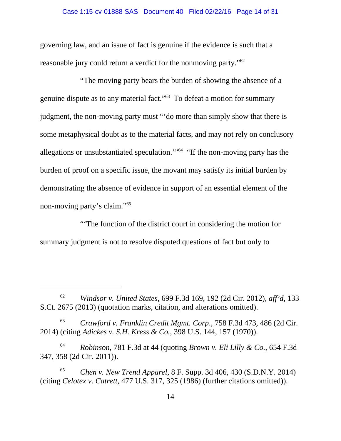#### Case 1:15-cv-01888-SAS Document 40 Filed 02/22/16 Page 14 of 31

governing law, and an issue of fact is genuine if the evidence is such that a reasonable jury could return a verdict for the nonmoving party."62

"The moving party bears the burden of showing the absence of a genuine dispute as to any material fact."63 To defeat a motion for summary judgment, the non-moving party must "'do more than simply show that there is some metaphysical doubt as to the material facts, and may not rely on conclusory allegations or unsubstantiated speculation."<sup>64</sup> "If the non-moving party has the burden of proof on a specific issue, the movant may satisfy its initial burden by demonstrating the absence of evidence in support of an essential element of the non-moving party's claim."65

"'The function of the district court in considering the motion for summary judgment is not to resolve disputed questions of fact but only to

<sup>62</sup> *Windsor v. United States*, 699 F.3d 169, 192 (2d Cir. 2012), *aff'd*, 133 S.Ct. 2675 (2013) (quotation marks, citation, and alterations omitted).

<sup>63</sup> *Crawford v. Franklin Credit Mgmt. Corp*., 758 F.3d 473, 486 (2d Cir. 2014) (citing *Adickes v. S.H. Kress & Co.*, 398 U.S. 144, 157 (1970)).

<sup>64</sup> *Robinson*, 781 F.3d at 44 (quoting *Brown v. Eli Lilly & Co.*, 654 F.3d 347, 358 (2d Cir. 2011)).

<sup>65</sup> *Chen v. New Trend Apparel*, 8 F. Supp. 3d 406, 430 (S.D.N.Y. 2014) (citing *Celotex v. Catrett*, 477 U.S. 317, 325 (1986) (further citations omitted)).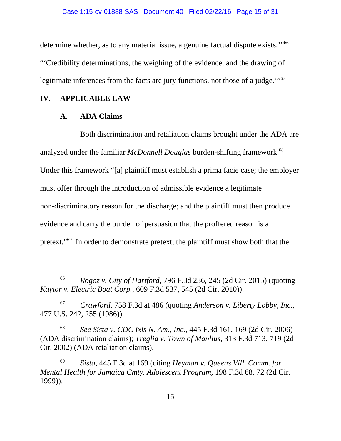determine whether, as to any material issue, a genuine factual dispute exists."<sup>66</sup> "'Credibility determinations, the weighing of the evidence, and the drawing of legitimate inferences from the facts are jury functions, not those of a judge."<sup>67</sup>

## **IV. APPLICABLE LAW**

### **A. ADA Claims**

Both discrimination and retaliation claims brought under the ADA are analyzed under the familiar *McDonnell Douglas* burden-shifting framework.<sup>68</sup> Under this framework "[a] plaintiff must establish a prima facie case; the employer must offer through the introduction of admissible evidence a legitimate non-discriminatory reason for the discharge; and the plaintiff must then produce evidence and carry the burden of persuasion that the proffered reason is a pretext."69 In order to demonstrate pretext, the plaintiff must show both that the

<sup>68</sup> *See Sista v. CDC Ixis N. Am., Inc.*, 445 F.3d 161, 169 (2d Cir. 2006) (ADA discrimination claims); *Treglia v. Town of Manlius*, 313 F.3d 713, 719 (2d Cir. 2002) (ADA retaliation claims).

<sup>69</sup> *Sista*, 445 F.3d at 169 (citing *Heyman v. Queens Vill. Comm. for Mental Health for Jamaica Cmty. Adolescent Program*, 198 F.3d 68, 72 (2d Cir. 1999)).

<sup>66</sup> *Rogoz v. City of Hartford*, 796 F.3d 236, 245 (2d Cir. 2015) (quoting *Kaytor v. Electric Boat Corp.*, 609 F.3d 537, 545 (2d Cir. 2010)).

<sup>67</sup> *Crawford*, 758 F.3d at 486 (quoting *Anderson v. Liberty Lobby, Inc.*, 477 U.S. 242, 255 (1986)).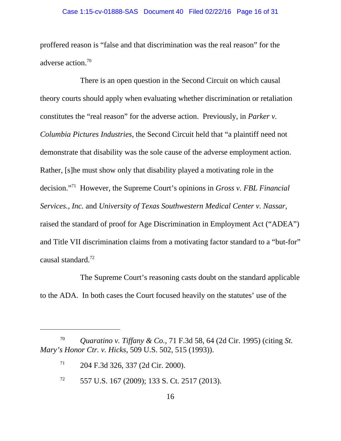#### Case 1:15-cv-01888-SAS Document 40 Filed 02/22/16 Page 16 of 31

proffered reason is "false and that discrimination was the real reason" for the adverse action.<sup>70</sup>

There is an open question in the Second Circuit on which causal theory courts should apply when evaluating whether discrimination or retaliation constitutes the "real reason" for the adverse action. Previously, in *Parker v. Columbia Pictures Industries*, the Second Circuit held that "a plaintiff need not demonstrate that disability was the sole cause of the adverse employment action. Rather, [s]he must show only that disability played a motivating role in the decision."71 However, the Supreme Court's opinions in *Gross v. FBL Financial Services., Inc.* and *University of Texas Southwestern Medical Center v. Nassar*, raised the standard of proof for Age Discrimination in Employment Act ("ADEA") and Title VII discrimination claims from a motivating factor standard to a "but-for" causal standard.72

The Supreme Court's reasoning casts doubt on the standard applicable to the ADA. In both cases the Court focused heavily on the statutes' use of the

<sup>70</sup> *Quaratino v. Tiffany & Co.*, 71 F.3d 58, 64 (2d Cir. 1995) (citing *St. Mary's Honor Ctr. v. Hicks*, 509 U.S. 502, 515 (1993)).

 $71$  204 F.3d 326, 337 (2d Cir. 2000).

 $72$  557 U.S. 167 (2009); 133 S. Ct. 2517 (2013).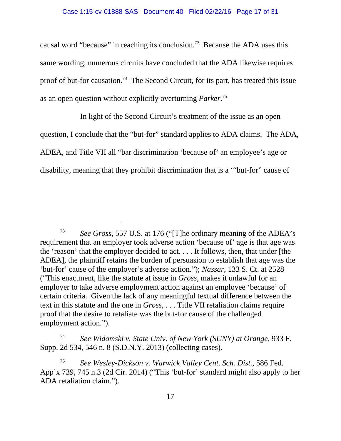causal word "because" in reaching its conclusion.73 Because the ADA uses this same wording, numerous circuits have concluded that the ADA likewise requires proof of but-for causation.<sup>74</sup> The Second Circuit, for its part, has treated this issue as an open question without explicitly overturning *Parker*. 75

In light of the Second Circuit's treatment of the issue as an open question, I conclude that the "but-for" standard applies to ADA claims. The ADA, ADEA, and Title VII all "bar discrimination 'because of' an employee's age or disability, meaning that they prohibit discrimination that is a '"but-for" cause of

<sup>74</sup> *See Widomski v. State Univ. of New York (SUNY) at Orange*, 933 F. Supp. 2d 534, 546 n. 8 (S.D.N.Y. 2013) (collecting cases).

<sup>73</sup> *See Gross*, 557 U.S. at 176 ("[T]he ordinary meaning of the ADEA's requirement that an employer took adverse action 'because of' age is that age was the 'reason' that the employer decided to act. . . . It follows, then, that under [the ADEA], the plaintiff retains the burden of persuasion to establish that age was the 'but-for' cause of the employer's adverse action."); *Nassar*, 133 S. Ct. at 2528 ("This enactment, like the statute at issue in *Gross*, makes it unlawful for an employer to take adverse employment action against an employee 'because' of certain criteria. Given the lack of any meaningful textual difference between the text in this statute and the one in *Gross*, . . . Title VII retaliation claims require proof that the desire to retaliate was the but-for cause of the challenged employment action.").

<sup>75</sup> *See Wesley-Dickson v. Warwick Valley Cent. Sch. Dist.*, 586 Fed. App'x 739, 745 n.3 (2d Cir. 2014) ("This 'but-for' standard might also apply to her ADA retaliation claim.").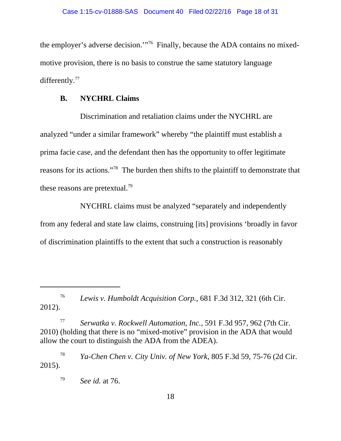the employer's adverse decision.'"76 Finally, because the ADA contains no mixedmotive provision, there is no basis to construe the same statutory language differently.<sup>77</sup>

# **B. NYCHRL Claims**

Discrimination and retaliation claims under the NYCHRL are analyzed "under a similar framework" whereby "the plaintiff must establish a prima facie case, and the defendant then has the opportunity to offer legitimate reasons for its actions."78 The burden then shifts to the plaintiff to demonstrate that these reasons are pretextual.<sup>79</sup>

NYCHRL claims must be analyzed "separately and independently from any federal and state law claims, construing [its] provisions 'broadly in favor of discrimination plaintiffs to the extent that such a construction is reasonably

<sup>76</sup> *Lewis v. Humboldt Acquisition Corp.*, 681 F.3d 312, 321 (6th Cir. 2012).

<sup>77</sup> *Serwatka v. Rockwell Automation, Inc.*, 591 F.3d 957, 962 (7th Cir. 2010) (holding that there is no "mixed-motive" provision in the ADA that would allow the court to distinguish the ADA from the ADEA).

<sup>78</sup> *Ya-Chen Chen v. City Univ. of New York*, 805 F.3d 59, 75-76 (2d Cir. 2015).

<sup>79</sup> *See id.* at 76.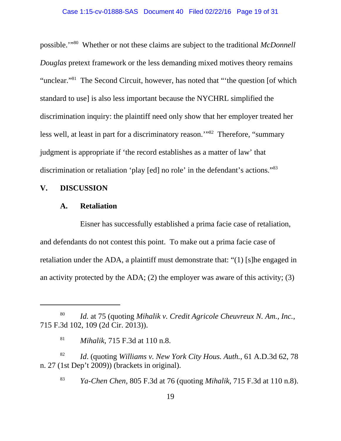#### Case 1:15-cv-01888-SAS Document 40 Filed 02/22/16 Page 19 of 31

possible.'"80 Whether or not these claims are subject to the traditional *McDonnell Douglas* pretext framework or the less demanding mixed motives theory remains "unclear."<sup>81</sup> The Second Circuit, however, has noted that "'the question [of which standard to use] is also less important because the NYCHRL simplified the discrimination inquiry: the plaintiff need only show that her employer treated her less well, at least in part for a discriminatory reason."<sup>82</sup> Therefore, "summary judgment is appropriate if 'the record establishes as a matter of law' that discrimination or retaliation 'play [ed] no role' in the defendant's actions."83

### **V. DISCUSSION**

### **A. Retaliation**

Eisner has successfully established a prima facie case of retaliation, and defendants do not contest this point. To make out a prima facie case of retaliation under the ADA, a plaintiff must demonstrate that: "(1) [s]he engaged in an activity protected by the ADA; (2) the employer was aware of this activity; (3)

<sup>82</sup> *Id*. (quoting *Williams v. New York City Hous. Auth.*, 61 A.D.3d 62, 78 n. 27 (1st Dep't 2009)) (brackets in original).

<sup>83</sup> *Ya-Chen Chen*, 805 F.3d at 76 (quoting *Mihalik*, 715 F.3d at 110 n.8).

<sup>80</sup> *Id.* at 75 (quoting *Mihalik v. Credit Agricole Cheuvreux N. Am., Inc.*, 715 F.3d 102, 109 (2d Cir. 2013)).

<sup>81</sup> *Mihalik*, 715 F.3d at 110 n.8.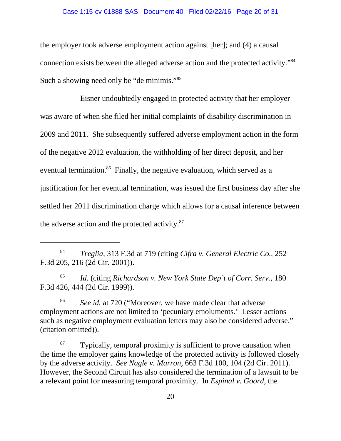#### Case 1:15-cv-01888-SAS Document 40 Filed 02/22/16 Page 20 of 31

the employer took adverse employment action against [her]; and (4) a causal connection exists between the alleged adverse action and the protected activity."84 Such a showing need only be "de minimis."<sup>85</sup>

Eisner undoubtedly engaged in protected activity that her employer was aware of when she filed her initial complaints of disability discrimination in 2009 and 2011. She subsequently suffered adverse employment action in the form of the negative 2012 evaluation, the withholding of her direct deposit, and her eventual termination.<sup>86</sup> Finally, the negative evaluation, which served as a justification for her eventual termination, was issued the first business day after she settled her 2011 discrimination charge which allows for a causal inference between the adverse action and the protected activity.87

<sup>85</sup> *Id.* (citing *Richardson v. New York State Dep't of Corr. Serv.*, 180 F.3d 426, 444 (2d Cir. 1999)).

<sup>86</sup> *See id.* at 720 ("Moreover, we have made clear that adverse employment actions are not limited to 'pecuniary emoluments.' Lesser actions such as negative employment evaluation letters may also be considered adverse." (citation omitted)).

 $87$  Typically, temporal proximity is sufficient to prove causation when the time the employer gains knowledge of the protected activity is followed closely by the adverse activity. *See Nagle v. Marron*, 663 F.3d 100, 104 (2d Cir. 2011). However, the Second Circuit has also considered the termination of a lawsuit to be a relevant point for measuring temporal proximity. In *Espinal v. Goord*, the

<sup>84</sup> *Treglia*, 313 F.3d at 719 (citing *Cifra v. General Electric Co.*, 252 F.3d 205, 216 (2d Cir. 2001)).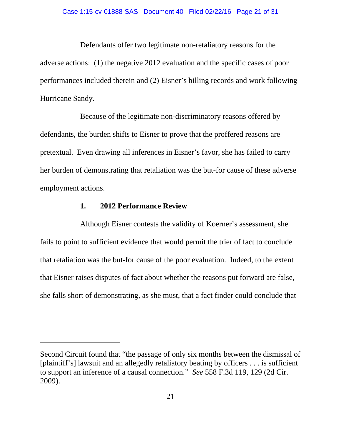Defendants offer two legitimate non-retaliatory reasons for the adverse actions: (1) the negative 2012 evaluation and the specific cases of poor performances included therein and (2) Eisner's billing records and work following Hurricane Sandy.

Because of the legitimate non-discriminatory reasons offered by defendants, the burden shifts to Eisner to prove that the proffered reasons are pretextual.Even drawing all inferences in Eisner's favor, she has failed to carry her burden of demonstrating that retaliation was the but-for cause of these adverse employment actions.

## **1. 2012 Performance Review**

Although Eisner contests the validity of Koerner's assessment, she fails to point to sufficient evidence that would permit the trier of fact to conclude that retaliation was the but-for cause of the poor evaluation. Indeed, to the extent that Eisner raises disputes of fact about whether the reasons put forward are false, she falls short of demonstrating, as she must, that a fact finder could conclude that

Second Circuit found that "the passage of only six months between the dismissal of [plaintiff's] lawsuit and an allegedly retaliatory beating by officers . . . is sufficient to support an inference of a causal connection." *See* 558 F.3d 119, 129 (2d Cir. 2009).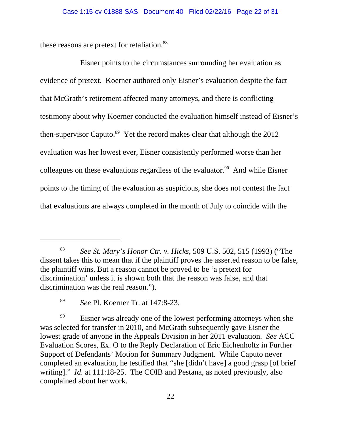these reasons are pretext for retaliation.<sup>88</sup>

Eisner points to the circumstances surrounding her evaluation as evidence of pretext. Koerner authored only Eisner's evaluation despite the fact that McGrath's retirement affected many attorneys, and there is conflicting testimony about why Koerner conducted the evaluation himself instead of Eisner's then-supervisor Caputo.<sup>89</sup> Yet the record makes clear that although the  $2012$ evaluation was her lowest ever, Eisner consistently performed worse than her colleagues on these evaluations regardless of the evaluator.<sup>90</sup> And while Eisner points to the timing of the evaluation as suspicious, she does not contest the fact that evaluations are always completed in the month of July to coincide with the

<sup>88</sup> *See St. Mary's Honor Ctr. v. Hicks*, 509 U.S. 502, 515 (1993) ("The dissent takes this to mean that if the plaintiff proves the asserted reason to be false, the plaintiff wins. But a reason cannot be proved to be 'a pretext for discrimination' unless it is shown both that the reason was false, and that discrimination was the real reason.").

<sup>89</sup> *See* Pl. Koerner Tr. at 147:8-23.

 $^{90}$  Eisner was already one of the lowest performing attorneys when she was selected for transfer in 2010, and McGrath subsequently gave Eisner the lowest grade of anyone in the Appeals Division in her 2011 evaluation. *See* ACC Evaluation Scores, Ex. O to the Reply Declaration of Eric Eichenholtz in Further Support of Defendants' Motion for Summary Judgment. While Caputo never completed an evaluation, he testified that "she [didn't have] a good grasp [of brief writing]." *Id*. at 111:18-25. The COIB and Pestana, as noted previously, also complained about her work.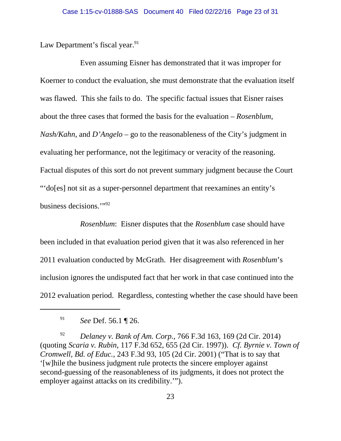Law Department's fiscal year.<sup>91</sup>

Even assuming Eisner has demonstrated that it was improper for Koerner to conduct the evaluation, she must demonstrate that the evaluation itself was flawed. This she fails to do. The specific factual issues that Eisner raises about the three cases that formed the basis for the evaluation – *Rosenblum*, *Nash/Kahn*, and *D'Angelo* – go to the reasonableness of the City's judgment in evaluating her performance, not the legitimacy or veracity of the reasoning. Factual disputes of this sort do not prevent summary judgment because the Court "'do[es] not sit as a super-personnel department that reexamines an entity's business decisions.'"92

*Rosenblum*: Eisner disputes that the *Rosenblum* case should have been included in that evaluation period given that it was also referenced in her 2011 evaluation conducted by McGrath. Her disagreement with *Rosenblum*'s inclusion ignores the undisputed fact that her work in that case continued into the 2012 evaluation period. Regardless, contesting whether the case should have been

<sup>91</sup> *See* Def. 56.1 ¶ 26.

<sup>92</sup> *Delaney v. Bank of Am. Corp.*, 766 F.3d 163, 169 (2d Cir. 2014) (quoting *Scaria v. Rubin*, 117 F.3d 652, 655 (2d Cir. 1997)). *Cf. Byrnie v. Town of Cromwell, Bd. of Educ.*, 243 F.3d 93, 105 (2d Cir. 2001) ("That is to say that '[w]hile the business judgment rule protects the sincere employer against second-guessing of the reasonableness of its judgments, it does not protect the employer against attacks on its credibility.'").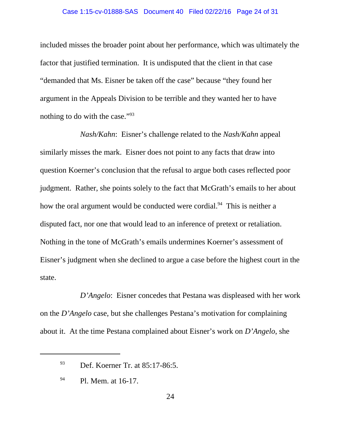included misses the broader point about her performance, which was ultimately the factor that justified termination. It is undisputed that the client in that case "demanded that Ms. Eisner be taken off the case" because "they found her argument in the Appeals Division to be terrible and they wanted her to have nothing to do with the case."<sup>93</sup>

*Nash/Kahn*: Eisner's challenge related to the *Nash/Kahn* appeal similarly misses the mark. Eisner does not point to any facts that draw into question Koerner's conclusion that the refusal to argue both cases reflected poor judgment. Rather, she points solely to the fact that McGrath's emails to her about how the oral argument would be conducted were cordial.<sup>94</sup> This is neither a disputed fact, nor one that would lead to an inference of pretext or retaliation. Nothing in the tone of McGrath's emails undermines Koerner's assessment of Eisner's judgment when she declined to argue a case before the highest court in the state.

*D'Angelo*: Eisner concedes that Pestana was displeased with her work on the *D'Angelo* case, but she challenges Pestana's motivation for complaining about it. At the time Pestana complained about Eisner's work on *D'Angelo*, she

<sup>93</sup> Def. Koerner Tr. at 85:17-86:5.

<sup>94</sup> Pl. Mem. at 16-17.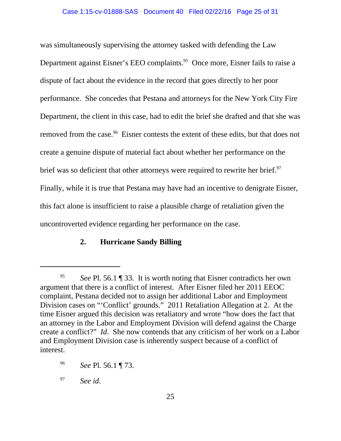was simultaneously supervising the attorney tasked with defending the Law Department against Eisner's EEO complaints.<sup>95</sup> Once more, Eisner fails to raise a dispute of fact about the evidence in the record that goes directly to her poor performance. She concedes that Pestana and attorneys for the New York City Fire Department, the client in this case, had to edit the brief she drafted and that she was removed from the case.<sup>96</sup> Eisner contests the extent of these edits, but that does not create a genuine dispute of material fact about whether her performance on the brief was so deficient that other attorneys were required to rewrite her brief.<sup>97</sup> Finally, while it is true that Pestana may have had an incentive to denigrate Eisner, this fact alone is insufficient to raise a plausible charge of retaliation given the uncontroverted evidence regarding her performance on the case.

# **2. Hurricane Sandy Billing**

<sup>97</sup> *See id*.

<sup>95</sup> *See* Pl. 56.1 ¶ 33. It is worth noting that Eisner contradicts her own argument that there is a conflict of interest. After Eisner filed her 2011 EEOC complaint, Pestana decided not to assign her additional Labor and Employment Division cases on "'Conflict' grounds." 2011 Retaliation Allegation at 2. At the time Eisner argued this decision was retaliatory and wrote "how does the fact that an attorney in the Labor and Employment Division will defend against the Charge create a conflict?" *Id*. She now contends that any criticism of her work on a Labor and Employment Division case is inherently suspect because of a conflict of interest.

<sup>96</sup> *See* Pl. 56.1 ¶ 73.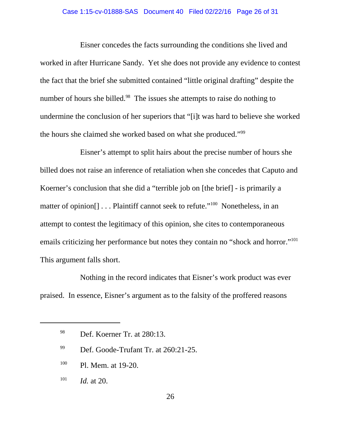#### Case 1:15-cv-01888-SAS Document 40 Filed 02/22/16 Page 26 of 31

Eisner concedes the facts surrounding the conditions she lived and worked in after Hurricane Sandy. Yet she does not provide any evidence to contest the fact that the brief she submitted contained "little original drafting" despite the number of hours she billed.<sup>98</sup> The issues she attempts to raise do nothing to undermine the conclusion of her superiors that "[i]t was hard to believe she worked the hours she claimed she worked based on what she produced."99

Eisner's attempt to split hairs about the precise number of hours she billed does not raise an inference of retaliation when she concedes that Caputo and Koerner's conclusion that she did a "terrible job on [the brief] - is primarily a matter of opinion<sup>[]</sup> . . . Plaintiff cannot seek to refute."<sup>100</sup> Nonetheless, in an attempt to contest the legitimacy of this opinion, she cites to contemporaneous emails criticizing her performance but notes they contain no "shock and horror."<sup>101</sup> This argument falls short.

Nothing in the record indicates that Eisner's work product was ever praised. In essence, Eisner's argument as to the falsity of the proffered reasons

- <sup>100</sup> Pl. Mem. at 19-20.
- <sup>101</sup> *Id.* at 20.

<sup>98</sup> Def. Koerner Tr. at 280:13.

<sup>&</sup>lt;sup>99</sup> Def. Goode-Trufant Tr. at 260:21-25.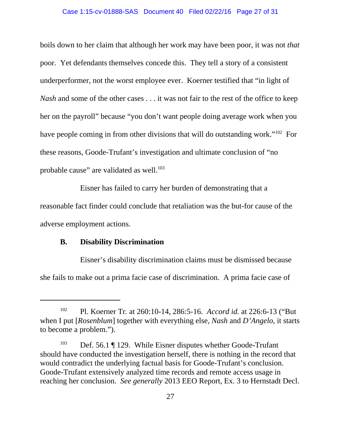#### Case 1:15-cv-01888-SAS Document 40 Filed 02/22/16 Page 27 of 31

boils down to her claim that although her work may have been poor, it was not *that* poor. Yet defendants themselves concede this. They tell a story of a consistent underperformer, not the worst employee ever. Koerner testified that "in light of *Nash* and some of the other cases . . . it was not fair to the rest of the office to keep her on the payroll" because "you don't want people doing average work when you have people coming in from other divisions that will do outstanding work."<sup>102</sup> For these reasons, Goode-Trufant's investigation and ultimate conclusion of "no probable cause" are validated as well. $103$ 

Eisner has failed to carry her burden of demonstrating that a reasonable fact finder could conclude that retaliation was the but-for cause of the adverse employment actions.

### **B. Disability Discrimination**

Eisner's disability discrimination claims must be dismissed because she fails to make out a prima facie case of discrimination. A prima facie case of

<sup>102</sup> Pl. Koerner Tr*.* at 260:10-14, 286:5-16. *Accord id.* at 226:6-13 ("But when I put [*Rosenblum*] together with everything else, *Nash* and *D'Angelo*, it starts to become a problem.").

<sup>103</sup> Def. 56.1 ¶ 129. While Eisner disputes whether Goode-Trufant should have conducted the investigation herself, there is nothing in the record that would contradict the underlying factual basis for Goode-Trufant's conclusion. Goode-Trufant extensively analyzed time records and remote access usage in reaching her conclusion. *See generally* 2013 EEO Report, Ex. 3 to Hernstadt Decl.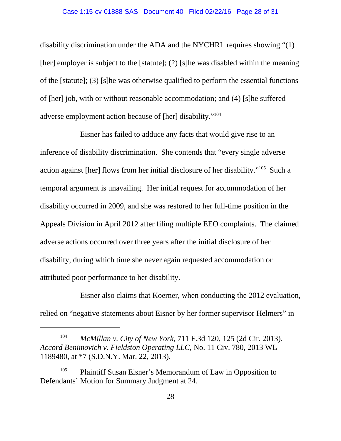disability discrimination under the ADA and the NYCHRL requires showing "(1) [her] employer is subject to the [statute]; (2) [s]he was disabled within the meaning of the [statute]; (3) [s]he was otherwise qualified to perform the essential functions of [her] job, with or without reasonable accommodation; and (4) [s]he suffered adverse employment action because of [her] disability."104

Eisner has failed to adduce any facts that would give rise to an inference of disability discrimination. She contends that "every single adverse action against [her] flows from her initial disclosure of her disability."105 Such a temporal argument is unavailing. Her initial request for accommodation of her disability occurred in 2009, and she was restored to her full-time position in the Appeals Division in April 2012 after filing multiple EEO complaints. The claimed adverse actions occurred over three years after the initial disclosure of her disability, during which time she never again requested accommodation or attributed poor performance to her disability.

Eisner also claims that Koerner, when conducting the 2012 evaluation, relied on "negative statements about Eisner by her former supervisor Helmers" in

<sup>104</sup> *McMillan v. City of New York*, 711 F.3d 120, 125 (2d Cir. 2013). *Accord Benimovich v. Fieldston Operating LLC*, No. 11 Civ. 780, 2013 WL 1189480, at \*7 (S.D.N.Y. Mar. 22, 2013).

<sup>&</sup>lt;sup>105</sup> Plaintiff Susan Eisner's Memorandum of Law in Opposition to Defendants' Motion for Summary Judgment at 24.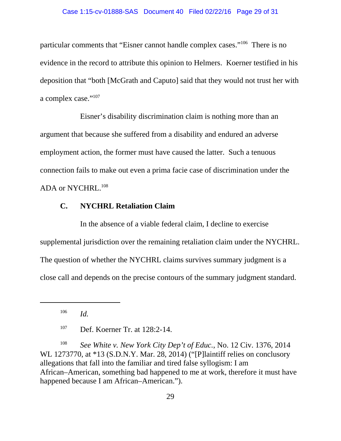#### Case 1:15-cv-01888-SAS Document 40 Filed 02/22/16 Page 29 of 31

particular comments that "Eisner cannot handle complex cases."106 There is no evidence in the record to attribute this opinion to Helmers. Koerner testified in his deposition that "both [McGrath and Caputo] said that they would not trust her with a complex case."<sup>107</sup>

Eisner's disability discrimination claim is nothing more than an argument that because she suffered from a disability and endured an adverse employment action, the former must have caused the latter. Such a tenuous connection fails to make out even a prima facie case of discrimination under the ADA or NYCHRL.<sup>108</sup>

# **C. NYCHRL Retaliation Claim**

In the absence of a viable federal claim, I decline to exercise supplemental jurisdiction over the remaining retaliation claim under the NYCHRL. The question of whether the NYCHRL claims survives summary judgment is a close call and depends on the precise contours of the summary judgment standard.

<sup>108</sup> *See White v. New York City Dep't of Educ.*, No. 12 Civ. 1376, 2014 WL 1273770, at \*13 (S.D.N.Y. Mar. 28, 2014) ("[P]laintiff relies on conclusory allegations that fall into the familiar and tired false syllogism: I am African–American, something bad happened to me at work, therefore it must have happened because I am African–American.").

<sup>106</sup> *Id.*

<sup>107</sup> Def. Koerner Tr. at 128:2-14.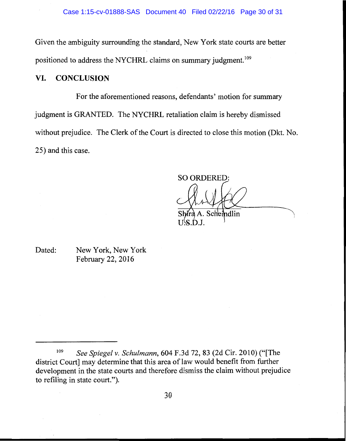Given the ambiguity surrounding the standard, New York state courts are better positioned to address the NYCHRL claims on summary judgment.<sup>109</sup>

#### VI. **CONCLUSION**

For the aforementioned reasons, defendants' motion for summary judgment is GRANTED. The NYCHRL retaliation claim is hereby dismissed without prejudice. The Clerk of the Court is directed to close this motion (Dkt. No. 25) and this case.

**SO ORDERED:** 

A. Scheindlin

US.D.J.

Dated: New York, New York February 22, 2016

<sup>109</sup> See Spiegel v. Schulmann, 604 F.3d 72, 83 (2d Cir. 2010) ("The district Court] may determine that this area of law would benefit from further development in the state courts and therefore dismiss the claim without prejudice to refiling in state court.").